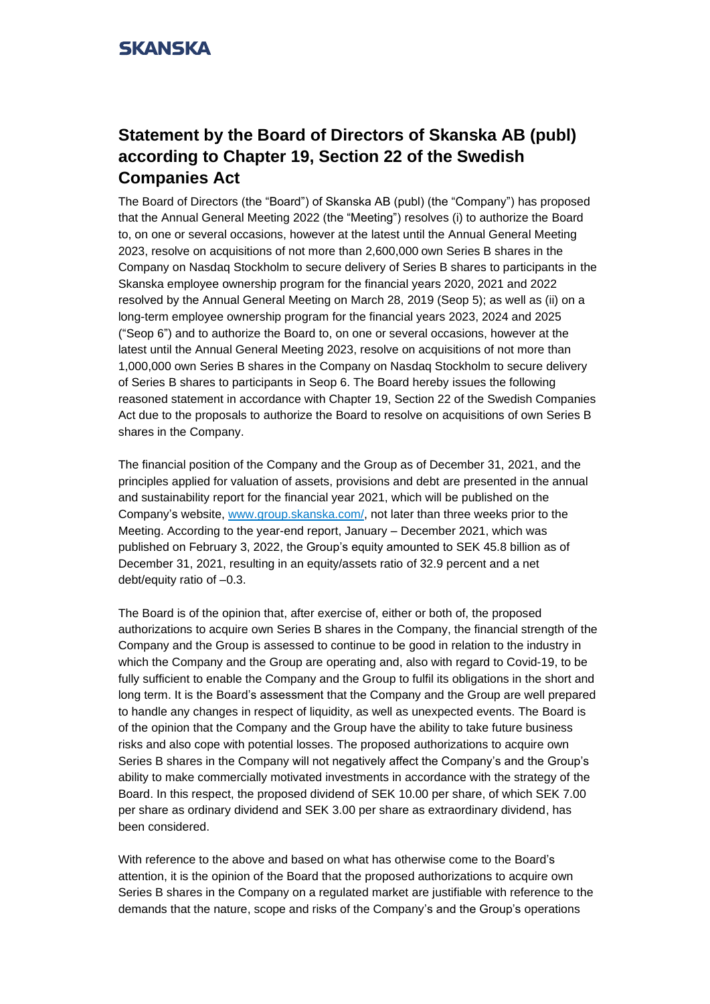## **SKANSKA**

## **Statement by the Board of Directors of Skanska AB (publ) according to Chapter 19, Section 22 of the Swedish Companies Act**

The Board of Directors (the "Board") of Skanska AB (publ) (the "Company") has proposed that the Annual General Meeting 2022 (the "Meeting") resolves (i) to authorize the Board to, on one or several occasions, however at the latest until the Annual General Meeting 2023, resolve on acquisitions of not more than 2,600,000 own Series B shares in the Company on Nasdaq Stockholm to secure delivery of Series B shares to participants in the Skanska employee ownership program for the financial years 2020, 2021 and 2022 resolved by the Annual General Meeting on March 28, 2019 (Seop 5); as well as (ii) on a long-term employee ownership program for the financial years 2023, 2024 and 2025 ("Seop 6") and to authorize the Board to, on one or several occasions, however at the latest until the Annual General Meeting 2023, resolve on acquisitions of not more than 1,000,000 own Series B shares in the Company on Nasdaq Stockholm to secure delivery of Series B shares to participants in Seop 6. The Board hereby issues the following reasoned statement in accordance with Chapter 19, Section 22 of the Swedish Companies Act due to the proposals to authorize the Board to resolve on acquisitions of own Series B shares in the Company.

The financial position of the Company and the Group as of December 31, 2021, and the principles applied for valuation of assets, provisions and debt are presented in the annual and sustainability report for the financial year 2021, which will be published on the Company's website, [www.group.skanska.com/](http://www.group.skanska.com/), not later than three weeks prior to the Meeting. According to the year-end report, January – December 2021, which was published on February 3, 2022, the Group's equity amounted to SEK 45.8 billion as of December 31, 2021, resulting in an equity/assets ratio of 32.9 percent and a net debt/equity ratio of –0.3.

The Board is of the opinion that, after exercise of, either or both of, the proposed authorizations to acquire own Series B shares in the Company, the financial strength of the Company and the Group is assessed to continue to be good in relation to the industry in which the Company and the Group are operating and, also with regard to Covid-19, to be fully sufficient to enable the Company and the Group to fulfil its obligations in the short and long term. It is the Board's assessment that the Company and the Group are well prepared to handle any changes in respect of liquidity, as well as unexpected events. The Board is of the opinion that the Company and the Group have the ability to take future business risks and also cope with potential losses. The proposed authorizations to acquire own Series B shares in the Company will not negatively affect the Company's and the Group's ability to make commercially motivated investments in accordance with the strategy of the Board. In this respect, the proposed dividend of SEK 10.00 per share, of which SEK 7.00 per share as ordinary dividend and SEK 3.00 per share as extraordinary dividend, has been considered.

With reference to the above and based on what has otherwise come to the Board's attention, it is the opinion of the Board that the proposed authorizations to acquire own Series B shares in the Company on a regulated market are justifiable with reference to the demands that the nature, scope and risks of the Company's and the Group's operations